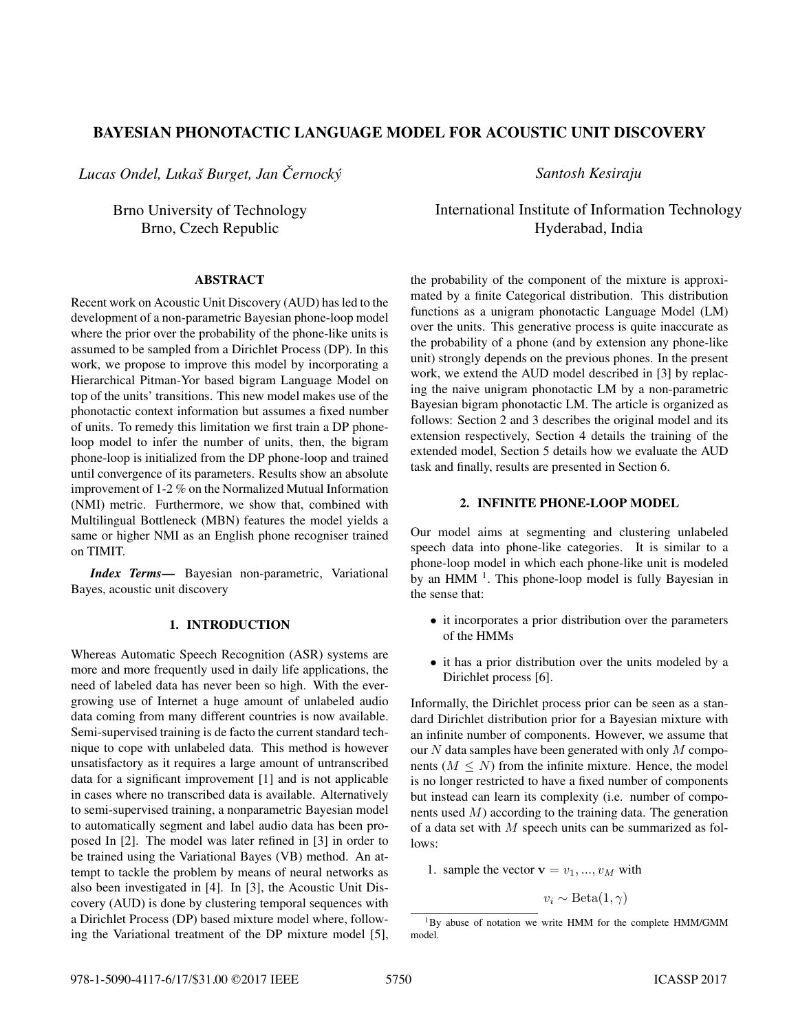# BAYESIAN PHONOTACTIC LANGUAGE MODEL FOR ACOUSTIC UNIT DISCOVERY

*Lucas Ondel, Lukas Burget, Jan ˇ Cernock ˇ y´*

Brno University of Technology Brno, Czech Republic

## ABSTRACT

Recent work on Acoustic Unit Discovery (AUD) has led to the development of a non-parametric Bayesian phone-loop model where the prior over the probability of the phone-like units is assumed to be sampled from a Dirichlet Process (DP). In this work, we propose to improve this model by incorporating a Hierarchical Pitman-Yor based bigram Language Model on top of the units' transitions. This new model makes use of the phonotactic context information but assumes a fixed number of units. To remedy this limitation we first train a DP phoneloop model to infer the number of units, then, the bigram phone-loop is initialized from the DP phone-loop and trained until convergence of its parameters. Results show an absolute improvement of 1-2 % on the Normalized Mutual Information (NMI) metric. Furthermore, we show that, combined with Multilingual Bottleneck (MBN) features the model yields a same or higher NMI as an English phone recogniser trained on TIMIT.

*Index Terms*— Bayesian non-parametric, Variational Bayes, acoustic unit discovery

### 1. INTRODUCTION

Whereas Automatic Speech Recognition (ASR) systems are more and more frequently used in daily life applications, the need of labeled data has never been so high. With the evergrowing use of Internet a huge amount of unlabeled audio data coming from many different countries is now available. Semi-supervised training is de facto the current standard technique to cope with unlabeled data. This method is however unsatisfactory as it requires a large amount of untranscribed data for a significant improvement [1] and is not applicable in cases where no transcribed data is available. Alternatively to semi-supervised training, a nonparametric Bayesian model to automatically segment and label audio data has been proposed In [2]. The model was later refined in [3] in order to be trained using the Variational Bayes (VB) method. An attempt to tackle the problem by means of neural networks as also been investigated in [4]. In [3], the Acoustic Unit Discovery (AUD) is done by clustering temporal sequences with a Dirichlet Process (DP) based mixture model where, following the Variational treatment of the DP mixture model [5],

*Santosh Kesiraju*

International Institute of Information Technology Hyderabad, India

the probability of the component of the mixture is approximated by a finite Categorical distribution. This distribution functions as a unigram phonotactic Language Model (LM) over the units. This generative process is quite inaccurate as the probability of a phone (and by extension any phone-like unit) strongly depends on the previous phones. In the present work, we extend the AUD model described in [3] by replacing the naive unigram phonotactic LM by a non-parametric Bayesian bigram phonotactic LM. The article is organized as follows: Section 2 and 3 describes the original model and its extension respectively, Section 4 details the training of the extended model, Section 5 details how we evaluate the AUD task and finally, results are presented in Section 6.

# 2. INFINITE PHONE-LOOP MODEL

Our model aims at segmenting and clustering unlabeled speech data into phone-like categories. It is similar to a phone-loop model in which each phone-like unit is modeled by an HMM<sup>1</sup>. This phone-loop model is fully Bayesian in the sense that:

- it incorporates a prior distribution over the parameters of the HMMs
- it has a prior distribution over the units modeled by a Dirichlet process [6].

Informally, the Dirichlet process prior can be seen as a standard Dirichlet distribution prior for a Bayesian mixture with an infinite number of components. However, we assume that our  $N$  data samples have been generated with only  $M$  components ( $M \leq N$ ) from the infinite mixture. Hence, the model is no longer restricted to have a fixed number of components but instead can learn its complexity (i.e. number of components used  $M$ ) according to the training data. The generation of a data set with M speech units can be summarized as follows:

1. sample the vector  $\mathbf{v} = v_1, ..., v_M$  with

 $v_i \sim \text{Beta}(1, \gamma)$ 

<sup>&</sup>lt;sup>1</sup>By abuse of notation we write HMM for the complete HMM/GMM model.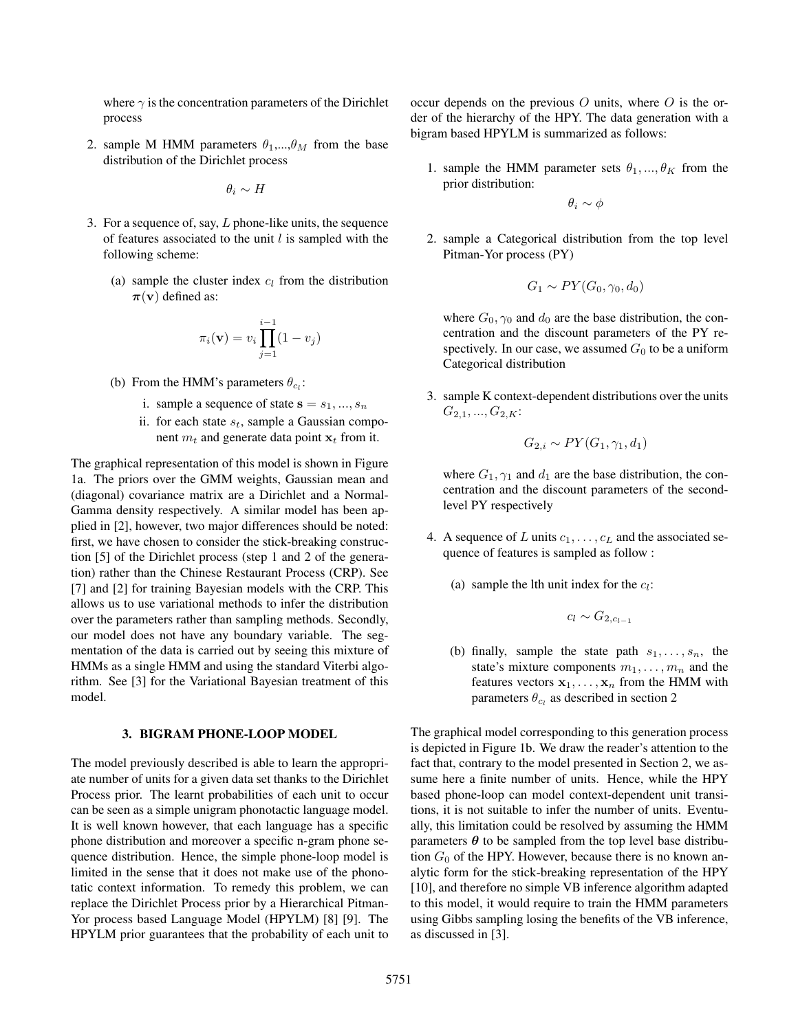where  $\gamma$  is the concentration parameters of the Dirichlet process

2. sample M HMM parameters  $\theta_1,...,\theta_M$  from the base distribution of the Dirichlet process

$$
\theta_i \sim H
$$

- 3. For a sequence of, say,  $L$  phone-like units, the sequence of features associated to the unit  $l$  is sampled with the following scheme:
	- (a) sample the cluster index  $c_l$  from the distribution  $\pi(\mathbf{v})$  defined as:

$$
\pi_i(\mathbf{v}) = v_i \prod_{j=1}^{i-1} (1 - v_j)
$$

- (b) From the HMM's parameters  $\theta_{c_i}$ :
	- i. sample a sequence of state  $s = s_1, ..., s_n$
	- ii. for each state  $s_t$ , sample a Gaussian component  $m_t$  and generate data point  $x_t$  from it.

The graphical representation of this model is shown in Figure 1a. The priors over the GMM weights, Gaussian mean and (diagonal) covariance matrix are a Dirichlet and a Normal-Gamma density respectively. A similar model has been applied in [2], however, two major differences should be noted: first, we have chosen to consider the stick-breaking construction [5] of the Dirichlet process (step 1 and 2 of the generation) rather than the Chinese Restaurant Process (CRP). See [7] and [2] for training Bayesian models with the CRP. This allows us to use variational methods to infer the distribution over the parameters rather than sampling methods. Secondly, our model does not have any boundary variable. The segmentation of the data is carried out by seeing this mixture of HMMs as a single HMM and using the standard Viterbi algorithm. See [3] for the Variational Bayesian treatment of this model.

#### 3. BIGRAM PHONE-LOOP MODEL

The model previously described is able to learn the appropriate number of units for a given data set thanks to the Dirichlet Process prior. The learnt probabilities of each unit to occur can be seen as a simple unigram phonotactic language model. It is well known however, that each language has a specific phone distribution and moreover a specific n-gram phone sequence distribution. Hence, the simple phone-loop model is limited in the sense that it does not make use of the phonotatic context information. To remedy this problem, we can replace the Dirichlet Process prior by a Hierarchical Pitman-Yor process based Language Model (HPYLM) [8] [9]. The HPYLM prior guarantees that the probability of each unit to

occur depends on the previous  $O$  units, where  $O$  is the order of the hierarchy of the HPY. The data generation with a bigram based HPYLM is summarized as follows:

1. sample the HMM parameter sets  $\theta_1, ..., \theta_K$  from the prior distribution:

 $\theta_i \sim \phi$ 

2. sample a Categorical distribution from the top level Pitman-Yor process (PY)

$$
G_1 \sim PY(G_0, \gamma_0, d_0)
$$

where  $G_0$ ,  $\gamma_0$  and  $d_0$  are the base distribution, the concentration and the discount parameters of the PY respectively. In our case, we assumed  $G_0$  to be a uniform Categorical distribution

3. sample K context-dependent distributions over the units  $G_{2,1},...,G_{2,K}$ 

$$
G_{2,i} \sim PY(G_1, \gamma_1, d_1)
$$

where  $G_1$ ,  $\gamma_1$  and  $d_1$  are the base distribution, the concentration and the discount parameters of the secondlevel PY respectively

- 4. A sequence of L units  $c_1, \ldots, c_L$  and the associated sequence of features is sampled as follow :
	- (a) sample the lth unit index for the  $c_l$ :

$$
c_l \sim G_{2,c_{l-1}}
$$

(b) finally, sample the state path  $s_1, \ldots, s_n$ , the state's mixture components  $m_1, \ldots, m_n$  and the features vectors  $x_1, \ldots, x_n$  from the HMM with parameters  $\theta_{c_l}$  as described in section 2

The graphical model corresponding to this generation process is depicted in Figure 1b. We draw the reader's attention to the fact that, contrary to the model presented in Section 2, we assume here a finite number of units. Hence, while the HPY based phone-loop can model context-dependent unit transitions, it is not suitable to infer the number of units. Eventually, this limitation could be resolved by assuming the HMM parameters  $\theta$  to be sampled from the top level base distribution  $G_0$  of the HPY. However, because there is no known analytic form for the stick-breaking representation of the HPY [10], and therefore no simple VB inference algorithm adapted to this model, it would require to train the HMM parameters using Gibbs sampling losing the benefits of the VB inference, as discussed in [3].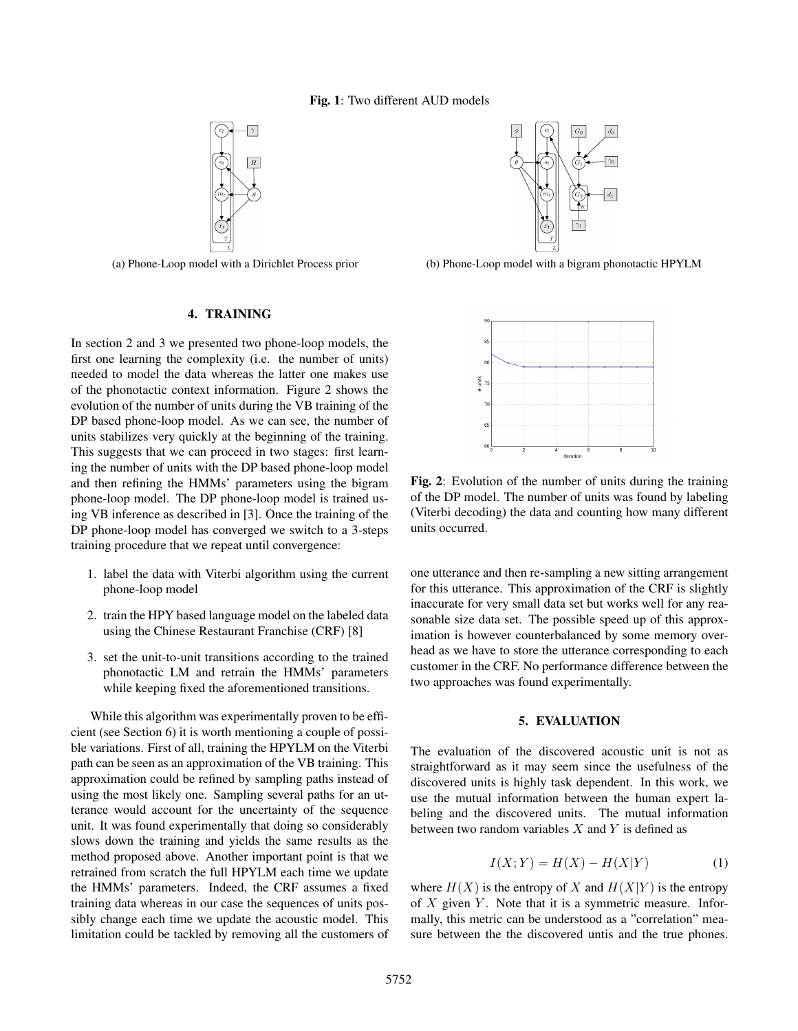## Fig. 1: Two different AUD models



## 4. TRAINING

In section 2 and 3 we presented two phone-loop models, the first one learning the complexity (i.e. the number of units) needed to model the data whereas the latter one makes use of the phonotactic context information. Figure 2 shows the evolution of the number of units during the VB training of the DP based phone-loop model. As we can see, the number of units stabilizes very quickly at the beginning of the training. This suggests that we can proceed in two stages: first learning the number of units with the DP based phone-loop model and then refining the HMMs' parameters using the bigram phone-loop model. The DP phone-loop model is trained using VB inference as described in [3]. Once the training of the DP phone-loop model has converged we switch to a 3-steps training procedure that we repeat until convergence:

- 1. label the data with Viterbi algorithm using the current phone-loop model
- 2. train the HPY based language model on the labeled data using the Chinese Restaurant Franchise (CRF) [8]
- 3. set the unit-to-unit transitions according to the trained phonotactic LM and retrain the HMMs' parameters while keeping fixed the aforementioned transitions.

While this algorithm was experimentally proven to be efficient (see Section 6) it is worth mentioning a couple of possible variations. First of all, training the HPYLM on the Viterbi path can be seen as an approximation of the VB training. This approximation could be refined by sampling paths instead of using the most likely one. Sampling several paths for an utterance would account for the uncertainty of the sequence unit. It was found experimentally that doing so considerably slows down the training and yields the same results as the method proposed above. Another important point is that we retrained from scratch the full HPYLM each time we update the HMMs' parameters. Indeed, the CRF assumes a fixed training data whereas in our case the sequences of units possibly change each time we update the acoustic model. This limitation could be tackled by removing all the customers of



(a) Phone-Loop model with a Dirichlet Process prior (b) Phone-Loop model with a bigram phonotactic HPYLM



Fig. 2: Evolution of the number of units during the training of the DP model. The number of units was found by labeling (Viterbi decoding) the data and counting how many different units occurred.

one utterance and then re-sampling a new sitting arrangement for this utterance. This approximation of the CRF is slightly inaccurate for very small data set but works well for any reasonable size data set. The possible speed up of this approximation is however counterbalanced by some memory overhead as we have to store the utterance corresponding to each customer in the CRF. No performance difference between the two approaches was found experimentally.

### 5. EVALUATION

The evaluation of the discovered acoustic unit is not as straightforward as it may seem since the usefulness of the discovered units is highly task dependent. In this work, we use the mutual information between the human expert labeling and the discovered units. The mutual information between two random variables  $X$  and  $Y$  is defined as

$$
I(X;Y) = H(X) - H(X|Y)
$$
\n<sup>(1)</sup>

where  $H(X)$  is the entropy of X and  $H(X|Y)$  is the entropy of  $X$  given  $Y$ . Note that it is a symmetric measure. Informally, this metric can be understood as a "correlation" measure between the the discovered untis and the true phones.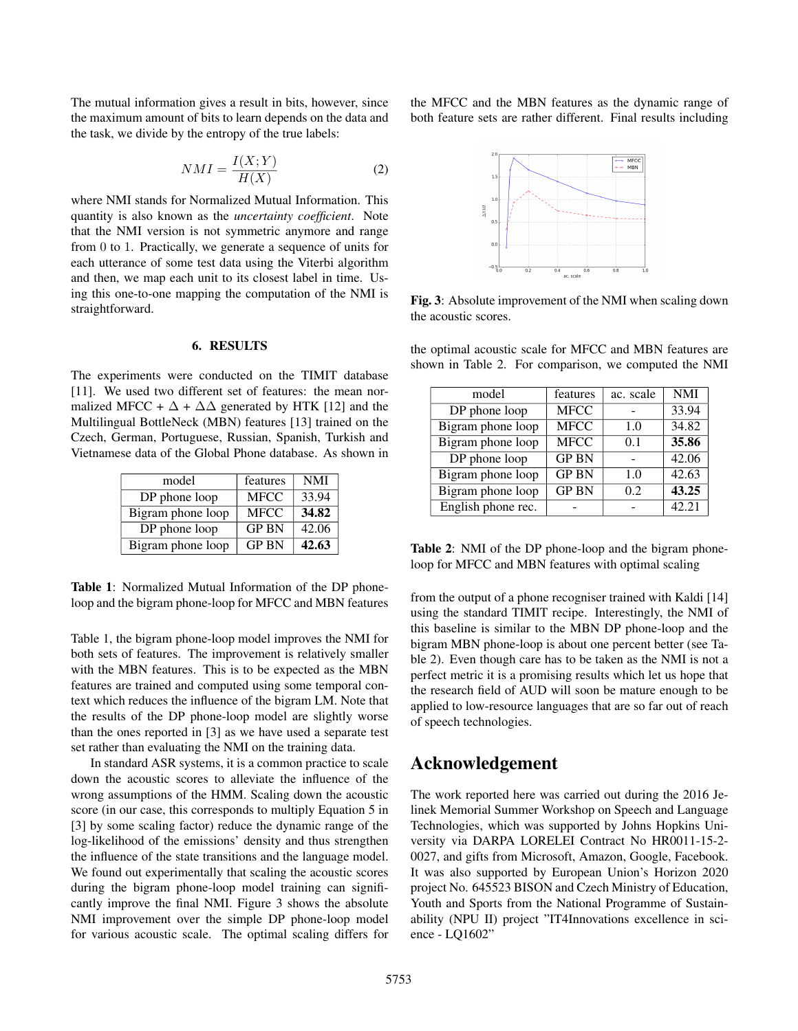The mutual information gives a result in bits, however, since the maximum amount of bits to learn depends on the data and the task, we divide by the entropy of the true labels:

$$
NMI = \frac{I(X;Y)}{H(X)}\tag{2}
$$

where NMI stands for Normalized Mutual Information. This quantity is also known as the *uncertainty coefficient*. Note that the NMI version is not symmetric anymore and range from 0 to 1. Practically, we generate a sequence of units for each utterance of some test data using the Viterbi algorithm and then, we map each unit to its closest label in time. Using this one-to-one mapping the computation of the NMI is straightforward.

#### 6. RESULTS

The experiments were conducted on the TIMIT database [11]. We used two different set of features: the mean normalized MFCC +  $\Delta$  +  $\Delta\Delta$  generated by HTK [12] and the Multilingual BottleNeck (MBN) features [13] trained on the Czech, German, Portuguese, Russian, Spanish, Turkish and Vietnamese data of the Global Phone database. As shown in

| model             | features     | <b>NMI</b> |
|-------------------|--------------|------------|
| DP phone loop     | MFCC         | 33.94      |
| Bigram phone loop | <b>MFCC</b>  | 34.82      |
| DP phone loop     | <b>GP BN</b> | 42.06      |
| Bigram phone loop | <b>GP BN</b> | 42.63      |

Table 1: Normalized Mutual Information of the DP phoneloop and the bigram phone-loop for MFCC and MBN features

Table 1, the bigram phone-loop model improves the NMI for both sets of features. The improvement is relatively smaller with the MBN features. This is to be expected as the MBN features are trained and computed using some temporal context which reduces the influence of the bigram LM. Note that the results of the DP phone-loop model are slightly worse than the ones reported in [3] as we have used a separate test set rather than evaluating the NMI on the training data.

In standard ASR systems, it is a common practice to scale down the acoustic scores to alleviate the influence of the wrong assumptions of the HMM. Scaling down the acoustic score (in our case, this corresponds to multiply Equation 5 in [3] by some scaling factor) reduce the dynamic range of the log-likelihood of the emissions' density and thus strengthen the influence of the state transitions and the language model. We found out experimentally that scaling the acoustic scores during the bigram phone-loop model training can significantly improve the final NMI. Figure 3 shows the absolute NMI improvement over the simple DP phone-loop model for various acoustic scale. The optimal scaling differs for the MFCC and the MBN features as the dynamic range of both feature sets are rather different. Final results including



Fig. 3: Absolute improvement of the NMI when scaling down the acoustic scores.

the optimal acoustic scale for MFCC and MBN features are shown in Table 2. For comparison, we computed the NMI

| model              | features     | ac. scale | <b>NMI</b> |
|--------------------|--------------|-----------|------------|
| DP phone loop      | <b>MFCC</b>  |           | 33.94      |
| Bigram phone loop  | <b>MFCC</b>  | 1.0       | 34.82      |
| Bigram phone loop  | <b>MFCC</b>  | 0.1       | 35.86      |
| DP phone loop      | <b>GP BN</b> |           | 42.06      |
| Bigram phone loop  | <b>GP BN</b> | 1.0       | 42.63      |
| Bigram phone loop  | <b>GP BN</b> | 0.2       | 43.25      |
| English phone rec. |              |           | 42.21      |

Table 2: NMI of the DP phone-loop and the bigram phoneloop for MFCC and MBN features with optimal scaling

from the output of a phone recogniser trained with Kaldi [14] using the standard TIMIT recipe. Interestingly, the NMI of this baseline is similar to the MBN DP phone-loop and the bigram MBN phone-loop is about one percent better (see Table 2). Even though care has to be taken as the NMI is not a perfect metric it is a promising results which let us hope that the research field of AUD will soon be mature enough to be applied to low-resource languages that are so far out of reach of speech technologies.

# Acknowledgement

The work reported here was carried out during the 2016 Jelinek Memorial Summer Workshop on Speech and Language Technologies, which was supported by Johns Hopkins University via DARPA LORELEI Contract No HR0011-15-2- 0027, and gifts from Microsoft, Amazon, Google, Facebook. It was also supported by European Union's Horizon 2020 project No. 645523 BISON and Czech Ministry of Education, Youth and Sports from the National Programme of Sustainability (NPU II) project "IT4Innovations excellence in science - LQ1602"